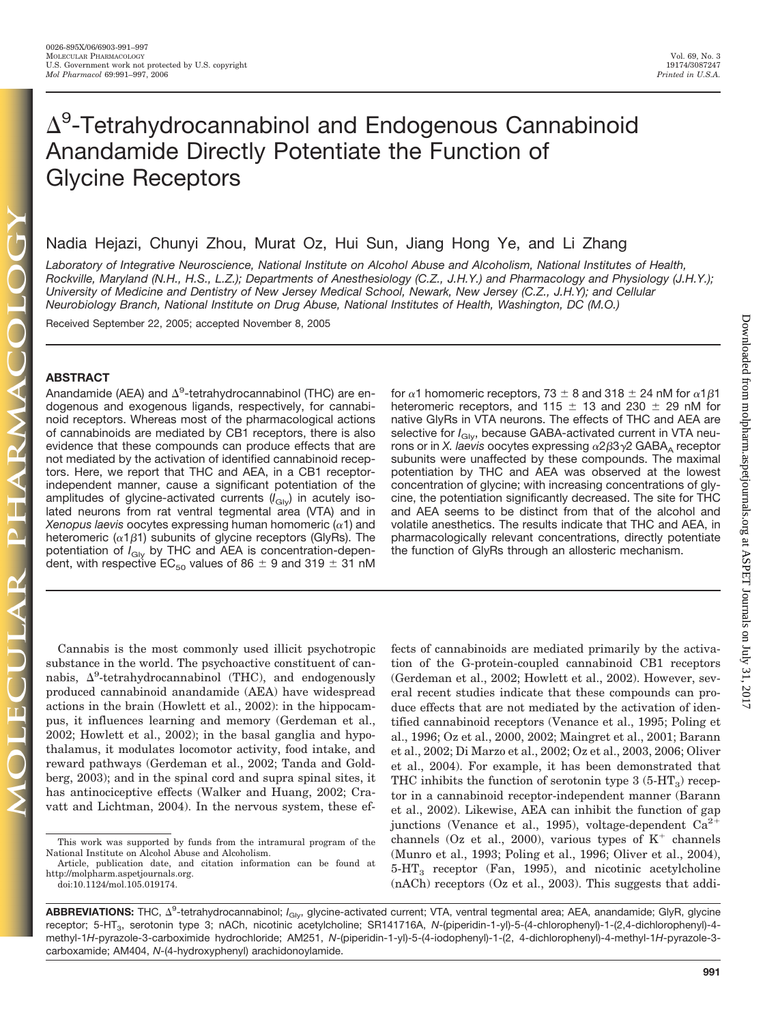# $\Delta^9$ -Tetrahydrocannabinol and Endogenous Cannabinoid Anandamide Directly Potentiate the Function of Glycine Receptors

# Nadia Hejazi, Chunyi Zhou, Murat Oz, Hui Sun, Jiang Hong Ye, and Li Zhang

*Laboratory of Integrative Neuroscience, National Institute on Alcohol Abuse and Alcoholism, National Institutes of Health, Rockville, Maryland (N.H., H.S., L.Z.); Departments of Anesthesiology (C.Z., J.H.Y.) and Pharmacology and Physiology (J.H.Y.); University of Medicine and Dentistry of New Jersey Medical School, Newark, New Jersey (C.Z., J.H.Y); and Cellular Neurobiology Branch, National Institute on Drug Abuse, National Institutes of Health, Washington, DC (M.O.)*

Received September 22, 2005; accepted November 8, 2005

### **ABSTRACT**

Anandamide (AEA) and  $\Delta^9$ -tetrahydrocannabinol (THC) are endogenous and exogenous ligands, respectively, for cannabinoid receptors. Whereas most of the pharmacological actions of cannabinoids are mediated by CB1 receptors, there is also evidence that these compounds can produce effects that are not mediated by the activation of identified cannabinoid receptors. Here, we report that THC and AEA, in a CB1 receptorindependent manner, cause a significant potentiation of the amplitudes of glycine-activated currents ( $I_{\text{Gly}}$ ) in acutely isolated neurons from rat ventral tegmental area (VTA) and in *Xenopus laevis* oocytes expressing human homomeric  $(\alpha 1)$  and heteromeric ( $\alpha$ 1 $\beta$ 1) subunits of glycine receptors (GlyRs). The potentiation of *I<sub>Gly</sub>* by THC and AEA is concentration-dependent, with respective EC $_{50}$  values of 86  $\pm$  9 and 319  $\pm$  31 nM

for  $\alpha$ 1 homomeric receptors, 73  $\pm$  8 and 318  $\pm$  24 nM for  $\alpha$ 1 $\beta$ 1 heteromeric receptors, and 115  $\pm$  13 and 230  $\pm$  29 nM for native GlyRs in VTA neurons. The effects of THC and AEA are selective for  $I_{\text{Gly}}$ , because GABA-activated current in VTA neurons or in *X. laevis* oocytes expressing  $\alpha$ 2 $\beta$ 3 $\gamma$ 2 GABA<sub>A</sub> receptor subunits were unaffected by these compounds. The maximal potentiation by THC and AEA was observed at the lowest concentration of glycine; with increasing concentrations of glycine, the potentiation significantly decreased. The site for THC and AEA seems to be distinct from that of the alcohol and volatile anesthetics. The results indicate that THC and AEA, in pharmacologically relevant concentrations, directly potentiate the function of GlyRs through an allosteric mechanism.

Cannabis is the most commonly used illicit psychotropic substance in the world. The psychoactive constituent of cannabis,  $\Delta^9$ -tetrahydrocannabinol (THC), and endogenously produced cannabinoid anandamide (AEA) have widespread actions in the brain (Howlett et al., 2002): in the hippocampus, it influences learning and memory (Gerdeman et al., 2002; Howlett et al., 2002); in the basal ganglia and hypothalamus, it modulates locomotor activity, food intake, and reward pathways (Gerdeman et al., 2002; Tanda and Goldberg, 2003); and in the spinal cord and supra spinal sites, it has antinociceptive effects (Walker and Huang, 2002; Cravatt and Lichtman, 2004). In the nervous system, these effects of cannabinoids are mediated primarily by the activation of the G-protein-coupled cannabinoid CB1 receptors (Gerdeman et al., 2002; Howlett et al., 2002). However, several recent studies indicate that these compounds can produce effects that are not mediated by the activation of identified cannabinoid receptors (Venance et al., 1995; Poling et al., 1996; Oz et al., 2000, 2002; Maingret et al., 2001; Barann et al., 2002; Di Marzo et al., 2002; Oz et al., 2003, 2006; Oliver et al., 2004). For example, it has been demonstrated that THC inhibits the function of serotonin type  $3(5-HT_3)$  receptor in a cannabinoid receptor-independent manner (Barann et al., 2002). Likewise, AEA can inhibit the function of gap junctions (Venance et al., 1995), voltage-dependent  $Ca^{2+}$ channels (Oz et al., 2000), various types of  $K^+$  channels (Munro et al., 1993; Poling et al., 1996; Oliver et al., 2004),  $5-\text{HT}_3$  receptor (Fan, 1995), and nicotinic acetylcholine (nACh) receptors (Oz et al., 2003). This suggests that addi-

This work was supported by funds from the intramural program of the National Institute on Alcohol Abuse and Alcoholism.

Article, publication date, and citation information can be found at http://molpharm.aspetjournals.org.

doi:10.1124/mol.105.019174.

ABBREVIATIONS: THC, A<sup>9</sup>-tetrahydrocannabinol; /<sub>Gly</sub>, glycine-activated current; VTA, ventral tegmental area; AEA, anandamide; GlyR, glycine receptor; 5-HT<sub>3</sub>, serotonin type 3; nACh, nicotinic acetylcholine; SR141716A, N-(piperidin-1-yl)-5-(4-chlorophenyl)-1-(2,4-dichlorophenyl)-4methyl-1*H*-pyrazole-3-carboximide hydrochloride; AM251, *N*-(piperidin-1-yl)-5-(4-iodophenyl)-1-(2, 4-dichlorophenyl)-4-methyl-1*H*-pyrazole-3 carboxamide; AM404, *N*-(4-hydroxyphenyl) arachidonoylamide.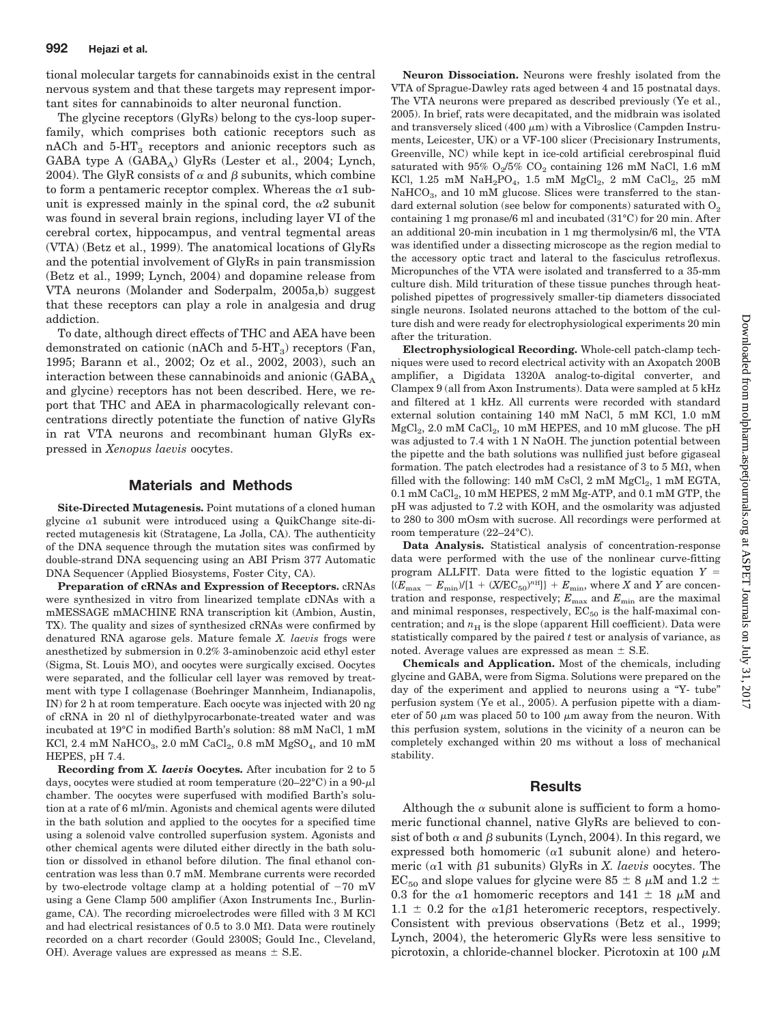tional molecular targets for cannabinoids exist in the central nervous system and that these targets may represent important sites for cannabinoids to alter neuronal function.

The glycine receptors (GlyRs) belong to the cys-loop superfamily, which comprises both cationic receptors such as  $nA$ Ch and  $5-HT<sub>3</sub>$  receptors and anionic receptors such as GABA type A  $(GABA_A)$  GlyRs (Lester et al., 2004; Lynch, 2004). The GlyR consists of  $\alpha$  and  $\beta$  subunits, which combine to form a pentameric receptor complex. Whereas the  $\alpha$ 1 subunit is expressed mainly in the spinal cord, the  $\alpha$ 2 subunit was found in several brain regions, including layer VI of the cerebral cortex, hippocampus, and ventral tegmental areas (VTA) (Betz et al., 1999). The anatomical locations of GlyRs and the potential involvement of GlyRs in pain transmission (Betz et al., 1999; Lynch, 2004) and dopamine release from VTA neurons (Molander and Soderpalm, 2005a,b) suggest that these receptors can play a role in analgesia and drug addiction.

To date, although direct effects of THC and AEA have been demonstrated on cationic (nACh and  $5-HT_3$ ) receptors (Fan, 1995; Barann et al., 2002; Oz et al., 2002, 2003), such an interaction between these cannabinoids and anionic  $(GABA_A)$ and glycine) receptors has not been described. Here, we report that THC and AEA in pharmacologically relevant concentrations directly potentiate the function of native GlyRs in rat VTA neurons and recombinant human GlyRs expressed in *Xenopus laevis* oocytes.

#### **Materials and Methods**

**Site-Directed Mutagenesis.** Point mutations of a cloned human glycine  $\alpha$ 1 subunit were introduced using a QuikChange site-directed mutagenesis kit (Stratagene, La Jolla, CA). The authenticity of the DNA sequence through the mutation sites was confirmed by double-strand DNA sequencing using an ABI Prism 377 Automatic DNA Sequencer (Applied Biosystems, Foster City, CA).

**Preparation of cRNAs and Expression of Receptors.** cRNAs were synthesized in vitro from linearized template cDNAs with a mMESSAGE mMACHINE RNA transcription kit (Ambion, Austin, TX). The quality and sizes of synthesized cRNAs were confirmed by denatured RNA agarose gels. Mature female *X. laevis* frogs were anesthetized by submersion in 0.2% 3-aminobenzoic acid ethyl ester (Sigma, St. Louis MO), and oocytes were surgically excised. Oocytes were separated, and the follicular cell layer was removed by treatment with type I collagenase (Boehringer Mannheim, Indianapolis, IN) for 2 h at room temperature. Each oocyte was injected with 20 ng of cRNA in 20 nl of diethylpyrocarbonate-treated water and was incubated at 19°C in modified Barth's solution: 88 mM NaCl, 1 mM KCl, 2.4 mM NaHCO<sub>3</sub>, 2.0 mM CaCl<sub>2</sub>, 0.8 mM MgSO<sub>4</sub>, and 10 mM HEPES, pH 7.4.

**Recording from** *X. laevis* **Oocytes.** After incubation for 2 to 5 days, oocytes were studied at room temperature  $(20-22^{\circ}\text{C})$  in a  $90-\mu\text{I}$ chamber. The oocytes were superfused with modified Barth's solution at a rate of 6 ml/min. Agonists and chemical agents were diluted in the bath solution and applied to the oocytes for a specified time using a solenoid valve controlled superfusion system. Agonists and other chemical agents were diluted either directly in the bath solution or dissolved in ethanol before dilution. The final ethanol concentration was less than 0.7 mM. Membrane currents were recorded by two-electrode voltage clamp at a holding potential of  $-70$  mV using a Gene Clamp 500 amplifier (Axon Instruments Inc., Burlingame, CA). The recording microelectrodes were filled with 3 M KCl and had electrical resistances of 0.5 to 3.0 M $\Omega$ . Data were routinely recorded on a chart recorder (Gould 2300S; Gould Inc., Cleveland, OH). Average values are expressed as means  $\pm$  S.E.

**Neuron Dissociation.** Neurons were freshly isolated from the VTA of Sprague-Dawley rats aged between 4 and 15 postnatal days. The VTA neurons were prepared as described previously (Ye et al., 2005). In brief, rats were decapitated, and the midbrain was isolated and transversely sliced (400  $\mu$ m) with a Vibroslice (Campden Instruments, Leicester, UK) or a VF-100 slicer (Precisionary Instruments, Greenville, NC) while kept in ice-cold artificial cerebrospinal fluid saturated with  $95\%$  O<sub>2</sub>/5% CO<sub>2</sub> containing 126 mM NaCl, 1.6 mM KCl,  $1.25$  mM  $NaH_2PO_4$ ,  $1.5$  mM  $MgCl_2$ ,  $2$  mM  $CaCl_2$ ,  $25$  mM NaHCO<sub>3</sub>, and 10 mM glucose. Slices were transferred to the standard external solution (see below for components) saturated with  $O<sub>2</sub>$ containing 1 mg pronase/6 ml and incubated (31°C) for 20 min. After an additional 20-min incubation in 1 mg thermolysin/6 ml, the VTA was identified under a dissecting microscope as the region medial to the accessory optic tract and lateral to the fasciculus retroflexus. Micropunches of the VTA were isolated and transferred to a 35-mm culture dish. Mild trituration of these tissue punches through heatpolished pipettes of progressively smaller-tip diameters dissociated single neurons. Isolated neurons attached to the bottom of the culture dish and were ready for electrophysiological experiments 20 min after the trituration.

**Electrophysiological Recording.** Whole-cell patch-clamp techniques were used to record electrical activity with an Axopatch 200B amplifier, a Digidata 1320A analog-to-digital converter, and Clampex 9 (all from Axon Instruments). Data were sampled at 5 kHz and filtered at 1 kHz. All currents were recorded with standard external solution containing 140 mM NaCl, 5 mM KCl, 1.0 mM  $MgCl<sub>2</sub>$ , 2.0 mM CaCl<sub>2</sub>, 10 mM HEPES, and 10 mM glucose. The pH was adjusted to 7.4 with 1 N NaOH. The junction potential between the pipette and the bath solutions was nullified just before gigaseal formation. The patch electrodes had a resistance of 3 to 5  $\text{M}\Omega$ , when filled with the following:  $140 \text{ mM } CsCl$ ,  $2 \text{ mM } MgCl$ <sub>2</sub>,  $1 \text{ mM } EGTA$ ,  $0.1 \text{ mM } \text{CaCl}_2$ ,  $10 \text{ mM } \text{HEPES}$ ,  $2 \text{ mM } \text{Mg-ATP}$ , and  $0.1 \text{ mM } \text{GTP}$ , the pH was adjusted to 7.2 with KOH, and the osmolarity was adjusted to 280 to 300 mOsm with sucrose. All recordings were performed at room temperature (22–24°C).

**Data Analysis.** Statistical analysis of concentration-response data were performed with the use of the nonlinear curve-fitting program ALLFIT. Data were fitted to the logistic equation *Y*  $\{ (E_{\text{max}} - E_{\text{min}}) / [1 + (X/\text{EC}_{50})^{n_{\text{H}}}]\} + E_{\text{min}}$ , where *X* and *Y* are concentration and response, respectively;  $E_{\text{max}}$  and  $E_{\text{min}}$  are the maximal and minimal responses, respectively,  $EC_{50}$  is the half-maximal concentration; and  $n_H$  is the slope (apparent Hill coefficient). Data were statistically compared by the paired *t* test or analysis of variance, as noted. Average values are expressed as mean  $\pm$  S.E.

**Chemicals and Application.** Most of the chemicals, including glycine and GABA, were from Sigma. Solutions were prepared on the day of the experiment and applied to neurons using a "Y- tube" perfusion system (Ye et al., 2005). A perfusion pipette with a diameter of 50  $\mu$ m was placed 50 to 100  $\mu$ m away from the neuron. With this perfusion system, solutions in the vicinity of a neuron can be completely exchanged within 20 ms without a loss of mechanical stability.

#### **Results**

Although the  $\alpha$  subunit alone is sufficient to form a homomeric functional channel, native GlyRs are believed to consist of both  $\alpha$  and  $\beta$  subunits (Lynch, 2004). In this regard, we expressed both homomeric  $(\alpha 1)$  subunit alone) and heteromeric  $(\alpha 1$  with  $\beta 1$  subunits) GlyRs in *X. laevis* oocytes. The  $\text{EC}_{50}$  and slope values for glycine were 85  $\pm$  8  $\mu\text{M}$  and 1.2  $\pm$ 0.3 for the  $\alpha$ 1 homomeric receptors and 141  $\pm$  18  $\mu$ M and  $1.1 \pm 0.2$  for the  $\alpha$ 1 $\beta$ 1 heteromeric receptors, respectively. Consistent with previous observations (Betz et al., 1999; Lynch, 2004), the heteromeric GlyRs were less sensitive to picrotoxin, a chloride-channel blocker. Picrotoxin at 100  $\mu$ M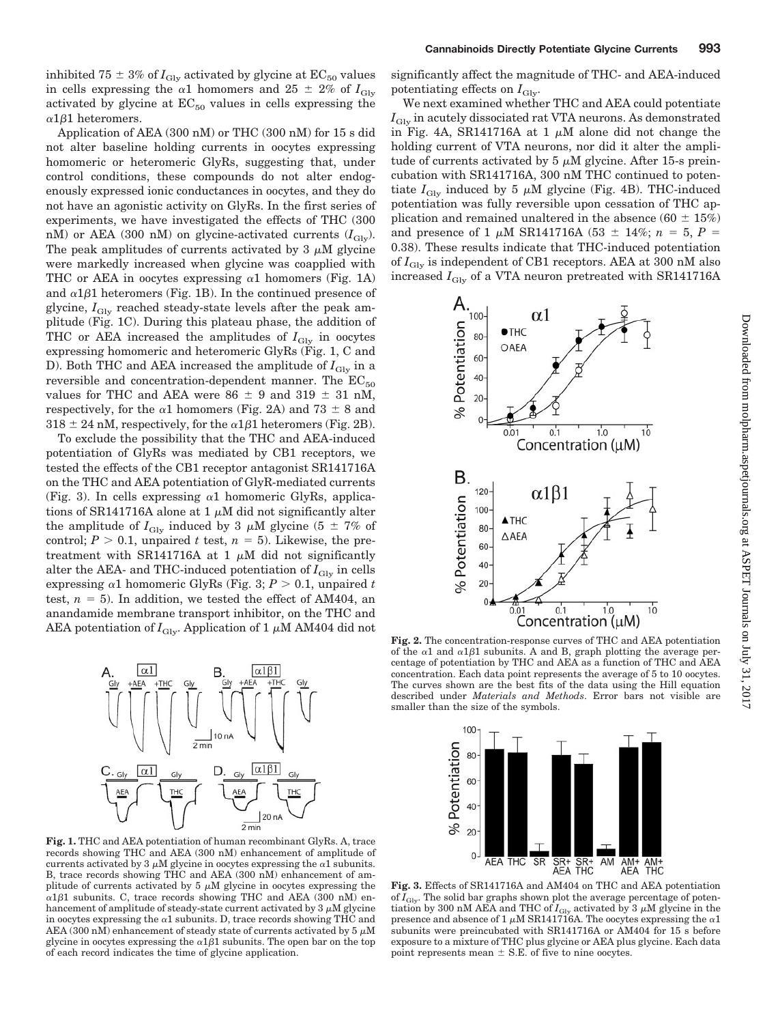inhibited 75  $\pm$  3% of  $I_{\rm{Gly}}$  activated by glycine at  $\rm{EC_{50}}$  values in cells expressing the  $\alpha 1$  homomers and  $25 \pm 2 \%$  of  $I_\text{Gly}$ activated by glycine at  $EC_{50}$  values in cells expressing the  $\alpha$ 1 $\beta$ 1 heteromers.

Application of AEA (300 nM) or THC (300 nM) for 15 s did not alter baseline holding currents in oocytes expressing homomeric or heteromeric GlyRs, suggesting that, under control conditions, these compounds do not alter endogenously expressed ionic conductances in oocytes, and they do not have an agonistic activity on GlyRs. In the first series of experiments, we have investigated the effects of THC (300 nM) or AEA (300 nM) on glycine-activated currents  $(I_{\text{Gly}})$ . The peak amplitudes of currents activated by 3  $\mu$ M glycine were markedly increased when glycine was coapplied with THC or AEA in oocytes expressing  $\alpha$ 1 homomers (Fig. 1A) and  $\alpha$ 1 $\beta$ 1 heteromers (Fig. 1B). In the continued presence of glycine,  $I_{\text{Gly}}$  reached steady-state levels after the peak amplitude (Fig. 1C). During this plateau phase, the addition of THC or AEA increased the amplitudes of  $I_{\text{Gly}}$  in oocytes expressing homomeric and heteromeric GlyRs (Fig. 1, C and D). Both THC and AEA increased the amplitude of  $I_{\text{Gly}}$  in a reversible and concentration-dependent manner. The  $EC_{50}$ values for THC and AEA were  $86 \pm 9$  and  $319 \pm 31$  nM, respectively, for the  $\alpha 1$  homomers (Fig. 2A) and 73  $\pm$  8 and  $318 \pm 24$  nM, respectively, for the  $\alpha$ 1 $\beta$ 1 heteromers (Fig. 2B).

To exclude the possibility that the THC and AEA-induced potentiation of GlyRs was mediated by CB1 receptors, we tested the effects of the CB1 receptor antagonist SR141716A on the THC and AEA potentiation of GlyR-mediated currents (Fig. 3). In cells expressing  $\alpha$ 1 homomeric GlyRs, applications of SR141716A alone at 1  $\mu$ M did not significantly alter the amplitude of  $I_{\text{Gly}}$  induced by 3  $\mu$ M glycine (5  $\pm$  7% of control;  $P > 0.1$ , unpaired *t* test,  $n = 5$ ). Likewise, the pretreatment with SR141716A at 1  $\mu$ M did not significantly alter the AEA- and THC-induced potentiation of  $I_{\text{Gly}}$  in cells expressing  $\alpha$ 1 homomeric GlyRs (Fig. 3;  $P > 0.1$ , unpaired *t* test,  $n = 5$ ). In addition, we tested the effect of AM404, an anandamide membrane transport inhibitor, on the THC and AEA potentiation of  $I_{\text{Gly}}$ . Application of 1  $\mu$ M AM404 did not



**Fig. 1.** THC and AEA potentiation of human recombinant GlyRs. A, trace records showing THC and AEA (300 nM) enhancement of amplitude of currents activated by 3  $\mu$ M glycine in oocytes expressing the  $\alpha$ 1 subunits. B, trace records showing THC and AEA (300 nM) enhancement of amplitude of currents activated by  $5 \mu M$  glycine in oocytes expressing the  $\alpha$ 1 $\beta$ 1 subunits. C, trace records showing THC and AEA (300 nM) enhancement of amplitude of steady-state current activated by  $3 \mu M$  glycine in oocytes expressing the  $\alpha$ 1 subunits. D, trace records showing THC and AEA (300 nM) enhancement of steady state of currents activated by  $5 \mu M$ glycine in oocytes expressing the  $\alpha$ 1 $\beta$ 1 subunits. The open bar on the top of each record indicates the time of glycine application.

significantly affect the magnitude of THC- and AEA-induced potentiating effects on  $I_{\text{Gly}}$ .

We next examined whether THC and AEA could potentiate  $I_{\text{Gly}}$  in acutely dissociated rat VTA neurons. As demonstrated in Fig. 4A, SR141716A at 1  $\mu$ M alone did not change the holding current of VTA neurons, nor did it alter the amplitude of currents activated by 5  $\mu$ M glycine. After 15-s preincubation with SR141716A, 300 nM THC continued to potentiate  $I_{\text{Gly}}$  induced by 5  $\mu$ M glycine (Fig. 4B). THC-induced potentiation was fully reversible upon cessation of THC application and remained unaltered in the absence  $(60 \pm 15\%)$ and presence of 1  $\mu$ M SR141716A (53  $\pm$  14%; *n* = 5, *P* = 0.38). These results indicate that THC-induced potentiation of  $I_{\text{Gly}}$  is independent of CB1 receptors. AEA at 300 nM also increased  $I_{\text{Gly}}$  of a VTA neuron pretreated with SR141716A



**Fig. 2.** The concentration-response curves of THC and AEA potentiation of the  $\alpha$ 1 and  $\alpha$ 1 $\beta$ 1 subunits. A and B, graph plotting the average percentage of potentiation by THC and AEA as a function of THC and AEA concentration. Each data point represents the average of 5 to 10 oocytes. The curves shown are the best fits of the data using the Hill equation described under *Materials and Methods*. Error bars not visible are smaller than the size of the symbols.



**Fig. 3.** Effects of SR141716A and AM404 on THC and AEA potentiation of  $I_{\text{Glv}}$ . The solid bar graphs shown plot the average percentage of potentiation by 300 nM AEA and THC of  $I_{\text{Gly}}$  activated by 3  $\mu$ M glycine in the presence and absence of 1  $\mu$ M SR141716A. The oocytes expressing the  $\alpha$ 1 subunits were preincubated with SR141716A or AM404 for 15 s before exposure to a mixture of THC plus glycine or AEA plus glycine. Each data point represents mean  $\pm$  S.E. of five to nine oocytes.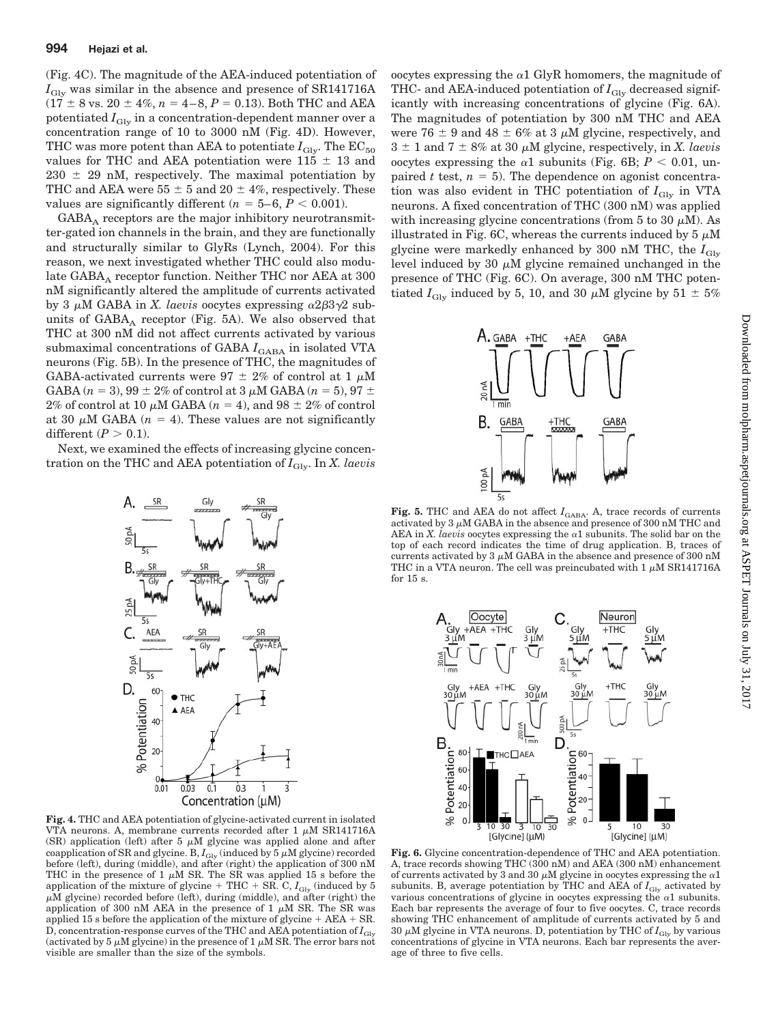(Fig. 4C). The magnitude of the AEA-induced potentiation of  $I_{\text{Gly}}$  was similar in the absence and presence of SR141716A  $(17 \pm 8 \text{ vs. } 20 \pm 4\%, n = 4{-}8, P = 0.13)$ . Both THC and AEA potentiated  $I_{\text{Gly}}$  in a concentration-dependent manner over a concentration range of 10 to 3000 nM (Fig. 4D). However, THC was more potent than AEA to potentiate  $I_{\text{Gly}}$ . The  $EC_{50}$ values for THC and AEA potentiation were  $115 \pm 13$  and  $230 \pm 29$  nM, respectively. The maximal potentiation by THC and AEA were 55  $\pm$  5 and 20  $\pm$  4%, respectively. These values are significantly different ( $n = 5-6$ ,  $P < 0.001$ ).

GABAA receptors are the major inhibitory neurotransmitter-gated ion channels in the brain, and they are functionally and structurally similar to GlyRs (Lynch, 2004). For this reason, we next investigated whether THC could also modulate GABA<sub>A</sub> receptor function. Neither THC nor AEA at 300 nM significantly altered the amplitude of currents activated by 3  $\mu$ M GABA in *X. laevis* oocytes expressing  $\alpha$ 2 $\beta$ 3 $\gamma$ 2 subunits of  $GABA_A$  receptor (Fig. 5A). We also observed that THC at 300 nM did not affect currents activated by various submaximal concentrations of GABA  $I_{\text{GABA}}$  in isolated VTA neurons (Fig. 5B). In the presence of THC, the magnitudes of GABA-activated currents were 97  $\pm$  2% of control at 1  $\mu$ M GABA ( $n = 3$ ), 99  $\pm$  2% of control at 3  $\mu$ M GABA ( $n = 5$ ), 97  $\pm$  $2\%$  of control at 10  $\mu$ M GABA ( $n=4$ ), and 98  $\pm$  2% of control at 30  $\mu$ M GABA ( $n = 4$ ). These values are not significantly different  $(P > 0.1)$ .

Next, we examined the effects of increasing glycine concentration on the THC and AEA potentiation of  $I_{\text{Glv}}$ . In *X. laevis* 



**Fig. 4.** THC and AEA potentiation of glycine-activated current in isolated VTA neurons. A, membrane currents recorded after  $1 \mu M$  SR141716A (SR) application (left) after 5  $\mu$ M glycine was applied alone and after coapplication of SR and glycine. B,  $I_{\text{Gly}}$  (induced by 5  $\mu$ M glycine) recorded before (left), during (middle), and after (right) the application of 300 nM THC in the presence of 1  $\mu$ M SR. The SR was applied 15 s before the application of the mixture of glycine  $+$  THC  $+$  SR. C,  $I_{\text{Gly}}$  (induced by 5  $\mu$ M glycine) recorded before (left), during (middle), and after (right) the application of 300 nM AEA in the presence of 1  $\mu$ M SR. The SR was applied 15 s before the application of the mixture of glycine  $+ AEA + SR$ . D, concentration-response curves of the THC and AEA potentiation of  $I_{\text{Gly}}$ (activated by 5  $\mu$ M glycine) in the presence of 1  $\mu$ M SR. The error bars not visible are smaller than the size of the symbols.

oocytes expressing the  $\alpha$ 1 GlyR homomers, the magnitude of THC- and AEA-induced potentiation of  $I_{\text{Gly}}$  decreased significantly with increasing concentrations of glycine (Fig. 6A). The magnitudes of potentiation by 300 nM THC and AEA were 76  $\pm$  9 and 48  $\pm$  6% at 3  $\mu$ M glycine, respectively, and  $3 \pm 1$  and  $7 \pm 8\%$  at 30  $\mu$ M glycine, respectively, in *X. laevis* oocytes expressing the  $\alpha$ 1 subunits (Fig. 6B;  $P < 0.01$ , unpaired  $t$  test,  $n = 5$ ). The dependence on agonist concentration was also evident in THC potentiation of  $I_{\text{Gly}}$  in VTA neurons. A fixed concentration of THC (300 nM) was applied with increasing glycine concentrations (from 5 to 30  $\mu$ M). As illustrated in Fig. 6C, whereas the currents induced by  $5 \mu M$ glycine were markedly enhanced by 300 nM THC, the  $I_{\text{Glv}}$ level induced by 30  $\mu$ M glycine remained unchanged in the presence of THC (Fig. 6C). On average, 300 nM THC potentiated  $I_{\text{Gly}}$  induced by 5, 10, and 30  $\mu$ M glycine by 51  $\pm$  5%



**Fig. 5.** THC and AEA do not affect  $I_{\text{GABA}}$ . A, trace records of currents activated by 3  $\mu$ M GABA in the absence and presence of 300 nM THC and AEA in *X. laevis* oocytes expressing the  $\alpha$ 1 subunits. The solid bar on the top of each record indicates the time of drug application. B, traces of currents activated by 3  $\mu$ M GABA in the absence and presence of 300 nM THC in a VTA neuron. The cell was preincubated with 1  $\mu{\rm M}$  SR141716A for 15 s.



**Fig. 6.** Glycine concentration-dependence of THC and AEA potentiation. A, trace records showing THC (300 nM) and AEA (300 nM) enhancement of currents activated by 3 and 30  $\mu$ M glycine in oocytes expressing the  $\alpha$ 1 subunits. B, average potentiation by THC and AEA of  $I_{\text{Gly}}$  activated by various concentrations of glycine in oocytes expressing the  $\alpha$ 1 subunits. Each bar represents the average of four to five oocytes. C, trace records showing THC enhancement of amplitude of currents activated by 5 and 30  $\mu$ M glycine in VTA neurons. D, potentiation by THC of  $I_{\text{Gly}}$  by various concentrations of glycine in VTA neurons. Each bar represents the average of three to five cells.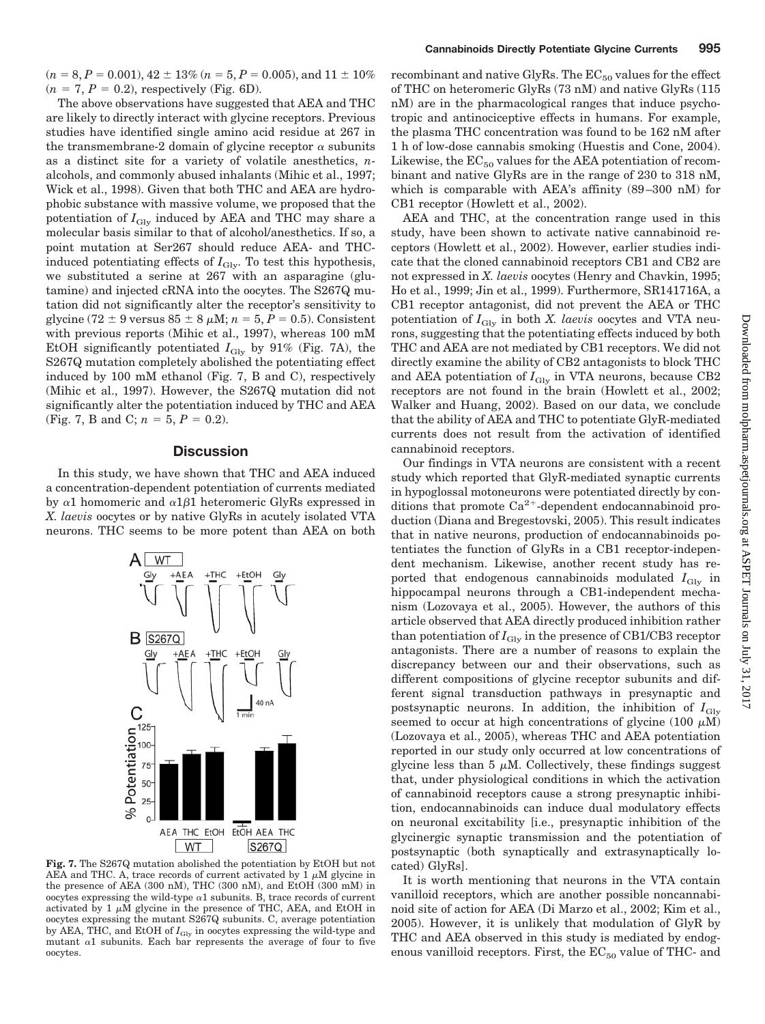$(n = 8, P = 0.001), 42 \pm 13\%$   $(n = 5, P = 0.005),$  and  $11 \pm 10\%$  $(n = 7, P = 0.2)$ , respectively (Fig. 6D).

The above observations have suggested that AEA and THC are likely to directly interact with glycine receptors. Previous studies have identified single amino acid residue at 267 in the transmembrane-2 domain of glycine receptor  $\alpha$  subunits as a distinct site for a variety of volatile anesthetics, *n*alcohols, and commonly abused inhalants (Mihic et al., 1997; Wick et al., 1998). Given that both THC and AEA are hydrophobic substance with massive volume, we proposed that the potentiation of  $I_{\text{Gly}}$  induced by AEA and THC may share a molecular basis similar to that of alcohol/anesthetics. If so, a point mutation at Ser267 should reduce AEA- and THCinduced potentiating effects of  $I_{\text{Gly}}$ . To test this hypothesis, we substituted a serine at 267 with an asparagine (glutamine) and injected cRNA into the oocytes. The S267Q mutation did not significantly alter the receptor's sensitivity to glycine (72  $\pm$  9 versus 85  $\pm$  8  $\mu$ M;  $n = 5, P = 0.5$ ). Consistent with previous reports (Mihic et al., 1997), whereas 100 mM EtOH significantly potentiated  $I_{\text{Gly}}$  by 91% (Fig. 7A), the S267Q mutation completely abolished the potentiating effect induced by 100 mM ethanol (Fig. 7, B and C), respectively (Mihic et al., 1997). However, the S267Q mutation did not significantly alter the potentiation induced by THC and AEA (Fig. 7, B and C;  $n = 5$ ,  $P = 0.2$ ).

## **Discussion**

In this study, we have shown that THC and AEA induced a concentration-dependent potentiation of currents mediated by  $\alpha$ 1 homomeric and  $\alpha$ 1 $\beta$ 1 heteromeric GlyRs expressed in *X. laevis* oocytes or by native GlyRs in acutely isolated VTA neurons. THC seems to be more potent than AEA on both



**Fig. 7.** The S267Q mutation abolished the potentiation by EtOH but not AEA and THC. A, trace records of current activated by  $1 \mu M$  glycine in the presence of AEA (300 nM), THC (300 nM), and EtOH (300 mM) in oocytes expressing the wild-type  $\alpha$ 1 subunits. B, trace records of current activated by  $1 \mu M$  glycine in the presence of THC, AEA, and EtOH in oocytes expressing the mutant S267Q subunits. C, average potentiation by AEA, THC, and EtOH of  $I_{\text{Gly}}$  in oocytes expressing the wild-type and mutant  $\alpha$ 1 subunits. Each bar represents the average of four to five oocytes.

recombinant and native GlyRs. The  $EC_{50}$  values for the effect of THC on heteromeric GlyRs (73 nM) and native GlyRs (115 nM) are in the pharmacological ranges that induce psychotropic and antinociceptive effects in humans. For example, the plasma THC concentration was found to be 162 nM after 1 h of low-dose cannabis smoking (Huestis and Cone, 2004). Likewise, the  $EC_{50}$  values for the AEA potentiation of recombinant and native GlyRs are in the range of 230 to 318 nM, which is comparable with AEA's affinity (89 –300 nM) for CB1 receptor (Howlett et al., 2002).

AEA and THC, at the concentration range used in this study, have been shown to activate native cannabinoid receptors (Howlett et al., 2002). However, earlier studies indicate that the cloned cannabinoid receptors CB1 and CB2 are not expressed in *X. laevis* oocytes (Henry and Chavkin, 1995; Ho et al., 1999; Jin et al., 1999). Furthermore, SR141716A, a CB1 receptor antagonist, did not prevent the AEA or THC potentiation of  $I_{\text{Gly}}$  in both *X. laevis* oocytes and VTA neurons, suggesting that the potentiating effects induced by both THC and AEA are not mediated by CB1 receptors. We did not directly examine the ability of CB2 antagonists to block THC and AEA potentiation of  $I_{\text{Gly}}$  in VTA neurons, because CB2 receptors are not found in the brain (Howlett et al., 2002; Walker and Huang, 2002). Based on our data, we conclude that the ability of AEA and THC to potentiate GlyR-mediated currents does not result from the activation of identified cannabinoid receptors.

Our findings in VTA neurons are consistent with a recent study which reported that GlyR-mediated synaptic currents in hypoglossal motoneurons were potentiated directly by conditions that promote  $Ca^{2+}$ -dependent endocannabinoid production (Diana and Bregestovski, 2005). This result indicates that in native neurons, production of endocannabinoids potentiates the function of GlyRs in a CB1 receptor-independent mechanism. Likewise, another recent study has reported that endogenous cannabinoids modulated  $I_{\text{Gly}}$  in hippocampal neurons through a CB1-independent mechanism (Lozovaya et al., 2005). However, the authors of this article observed that AEA directly produced inhibition rather than potentiation of  $I_{\text{Gly}}$  in the presence of CB1/CB3 receptor antagonists. There are a number of reasons to explain the discrepancy between our and their observations, such as different compositions of glycine receptor subunits and different signal transduction pathways in presynaptic and postsynaptic neurons. In addition, the inhibition of  $I_{\text{Gly}}$ seemed to occur at high concentrations of glycine (100  $\mu$ M) (Lozovaya et al., 2005), whereas THC and AEA potentiation reported in our study only occurred at low concentrations of glycine less than 5  $\mu$ M. Collectively, these findings suggest that, under physiological conditions in which the activation of cannabinoid receptors cause a strong presynaptic inhibition, endocannabinoids can induce dual modulatory effects on neuronal excitability [i.e., presynaptic inhibition of the glycinergic synaptic transmission and the potentiation of postsynaptic (both synaptically and extrasynaptically located) GlyRs].

It is worth mentioning that neurons in the VTA contain vanilloid receptors, which are another possible noncannabinoid site of action for AEA (Di Marzo et al., 2002; Kim et al., 2005). However, it is unlikely that modulation of GlyR by THC and AEA observed in this study is mediated by endogenous vanilloid receptors. First, the  $EC_{50}$  value of THC- and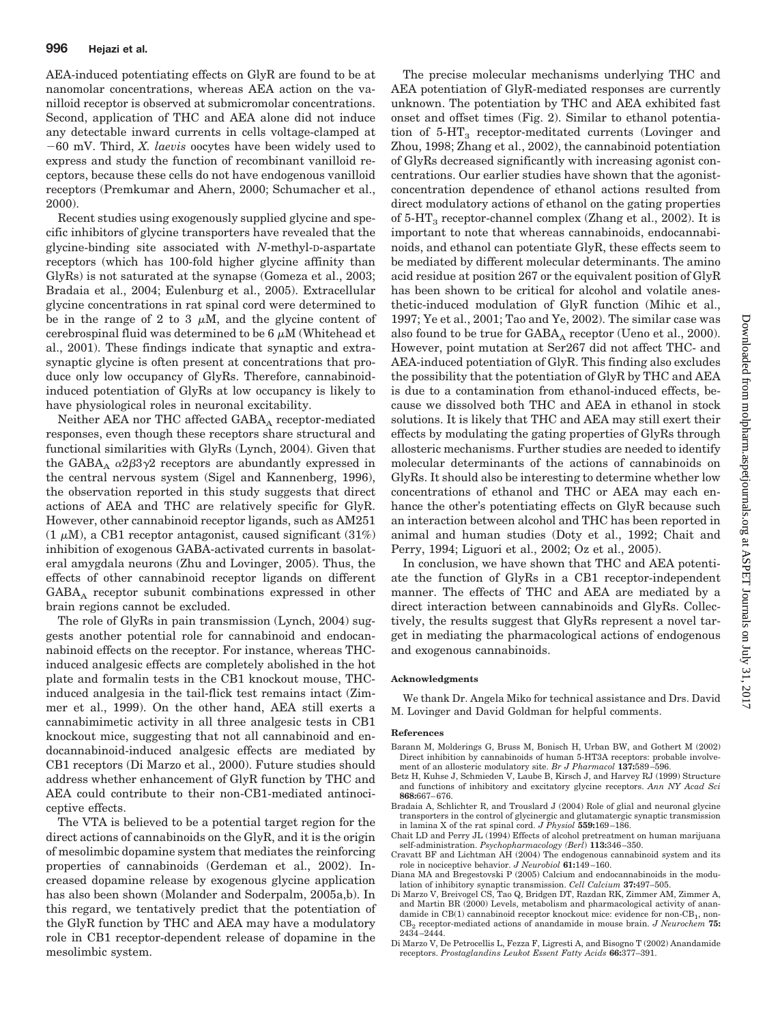AEA-induced potentiating effects on GlyR are found to be at nanomolar concentrations, whereas AEA action on the vanilloid receptor is observed at submicromolar concentrations. Second, application of THC and AEA alone did not induce any detectable inward currents in cells voltage-clamped at 60 mV. Third, *X. laevis* oocytes have been widely used to express and study the function of recombinant vanilloid receptors, because these cells do not have endogenous vanilloid receptors (Premkumar and Ahern, 2000; Schumacher et al., 2000).

Recent studies using exogenously supplied glycine and specific inhibitors of glycine transporters have revealed that the glycine-binding site associated with *N*-methyl-D-aspartate receptors (which has 100-fold higher glycine affinity than GlyRs) is not saturated at the synapse (Gomeza et al., 2003; Bradaia et al., 2004; Eulenburg et al., 2005). Extracellular glycine concentrations in rat spinal cord were determined to be in the range of 2 to 3  $\mu$ M, and the glycine content of cerebrospinal fluid was determined to be  $6 \mu M$  (Whitehead et al., 2001). These findings indicate that synaptic and extrasynaptic glycine is often present at concentrations that produce only low occupancy of GlyRs. Therefore, cannabinoidinduced potentiation of GlyRs at low occupancy is likely to have physiological roles in neuronal excitability.

Neither AEA nor THC affected GABA<sub>A</sub> receptor-mediated responses, even though these receptors share structural and functional similarities with GlyRs (Lynch, 2004). Given that the GABA<sub>A</sub>  $\alpha$ 2 $\beta$ 3 $\gamma$ 2 receptors are abundantly expressed in the central nervous system (Sigel and Kannenberg, 1996), the observation reported in this study suggests that direct actions of AEA and THC are relatively specific for GlyR. However, other cannabinoid receptor ligands, such as AM251  $(1 \mu M)$ , a CB1 receptor antagonist, caused significant  $(31\%)$ inhibition of exogenous GABA-activated currents in basolateral amygdala neurons (Zhu and Lovinger, 2005). Thus, the effects of other cannabinoid receptor ligands on different  $GABA_A$  receptor subunit combinations expressed in other brain regions cannot be excluded.

The role of GlyRs in pain transmission (Lynch, 2004) suggests another potential role for cannabinoid and endocannabinoid effects on the receptor. For instance, whereas THCinduced analgesic effects are completely abolished in the hot plate and formalin tests in the CB1 knockout mouse, THCinduced analgesia in the tail-flick test remains intact (Zimmer et al., 1999). On the other hand, AEA still exerts a cannabimimetic activity in all three analgesic tests in CB1 knockout mice, suggesting that not all cannabinoid and endocannabinoid-induced analgesic effects are mediated by CB1 receptors (Di Marzo et al., 2000). Future studies should address whether enhancement of GlyR function by THC and AEA could contribute to their non-CB1-mediated antinociceptive effects.

The VTA is believed to be a potential target region for the direct actions of cannabinoids on the GlyR, and it is the origin of mesolimbic dopamine system that mediates the reinforcing properties of cannabinoids (Gerdeman et al., 2002). Increased dopamine release by exogenous glycine application has also been shown (Molander and Soderpalm, 2005a,b). In this regard, we tentatively predict that the potentiation of the GlyR function by THC and AEA may have a modulatory role in CB1 receptor-dependent release of dopamine in the mesolimbic system.

The precise molecular mechanisms underlying THC and AEA potentiation of GlyR-mediated responses are currently unknown. The potentiation by THC and AEA exhibited fast onset and offset times (Fig. 2). Similar to ethanol potentiation of  $5-HT<sub>3</sub>$  receptor-meditated currents (Lovinger and Zhou, 1998; Zhang et al., 2002), the cannabinoid potentiation of GlyRs decreased significantly with increasing agonist concentrations. Our earlier studies have shown that the agonistconcentration dependence of ethanol actions resulted from direct modulatory actions of ethanol on the gating properties of  $5-\text{HT}_3$  receptor-channel complex (Zhang et al., 2002). It is important to note that whereas cannabinoids, endocannabinoids, and ethanol can potentiate GlyR, these effects seem to be mediated by different molecular determinants. The amino acid residue at position 267 or the equivalent position of GlyR has been shown to be critical for alcohol and volatile anesthetic-induced modulation of GlyR function (Mihic et al., 1997; Ye et al., 2001; Tao and Ye, 2002). The similar case was also found to be true for  $GABA_A$  receptor (Ueno et al., 2000). However, point mutation at Ser267 did not affect THC- and AEA-induced potentiation of GlyR. This finding also excludes the possibility that the potentiation of GlyR by THC and AEA is due to a contamination from ethanol-induced effects, because we dissolved both THC and AEA in ethanol in stock solutions. It is likely that THC and AEA may still exert their effects by modulating the gating properties of GlyRs through allosteric mechanisms. Further studies are needed to identify molecular determinants of the actions of cannabinoids on GlyRs. It should also be interesting to determine whether low concentrations of ethanol and THC or AEA may each enhance the other's potentiating effects on GlyR because such an interaction between alcohol and THC has been reported in animal and human studies (Doty et al., 1992; Chait and Perry, 1994; Liguori et al., 2002; Oz et al., 2005).

In conclusion, we have shown that THC and AEA potentiate the function of GlyRs in a CB1 receptor-independent manner. The effects of THC and AEA are mediated by a direct interaction between cannabinoids and GlyRs. Collectively, the results suggest that GlyRs represent a novel target in mediating the pharmacological actions of endogenous and exogenous cannabinoids.

#### **Acknowledgments**

We thank Dr. Angela Miko for technical assistance and Drs. David M. Lovinger and David Goldman for helpful comments.

#### **References**

- Barann M, Molderings G, Bruss M, Bonisch H, Urban BW, and Gothert M (2002) Direct inhibition by cannabinoids of human 5-HT3A receptors: probable involvement of an allosteric modulatory site. *Br J Pharmacol* **137:**589 –596.
- Betz H, Kuhse J, Schmieden V, Laube B, Kirsch J, and Harvey RJ (1999) Structure and functions of inhibitory and excitatory glycine receptors. *Ann NY Acad Sci* **868:**667– 676.
- Bradaia A, Schlichter R, and Trouslard J (2004) Role of glial and neuronal glycine transporters in the control of glycinergic and glutamatergic synaptic transmission in lamina X of the rat spinal cord. *J Physiol* **559:**169 –186.
- Chait LD and Perry JL (1994) Effects of alcohol pretreatment on human marijuana self-administration. *Psychopharmacology (Berl*) **113:**346 –350.
- Cravatt BF and Lichtman AH (2004) The endogenous cannabinoid system and its role in nociceptive behavior. *J Neurobiol* **61:**149 –160.
- Diana MA and Bregestovski P (2005) Calcium and endocannabinoids in the modulation of inhibitory synaptic transmission. *Cell Calcium* **37:**497–505.
- Di Marzo V, Breivogel CS, Tao Q, Bridgen DT, Razdan RK, Zimmer AM, Zimmer A, and Martin BR (2000) Levels, metabolism and pharmacological activity of anandamide in  $CB(1)$  cannabinoid receptor knockout mice: evidence for non- $CB<sub>1</sub>$ , non-CB2 receptor-mediated actions of anandamide in mouse brain. *J Neurochem* **75:** 2434 –2444.
- Di Marzo V, De Petrocellis L, Fezza F, Ligresti A, and Bisogno T (2002) Anandamide receptors. *Prostaglandins Leukot Essent Fatty Acids* **66:**377–391.